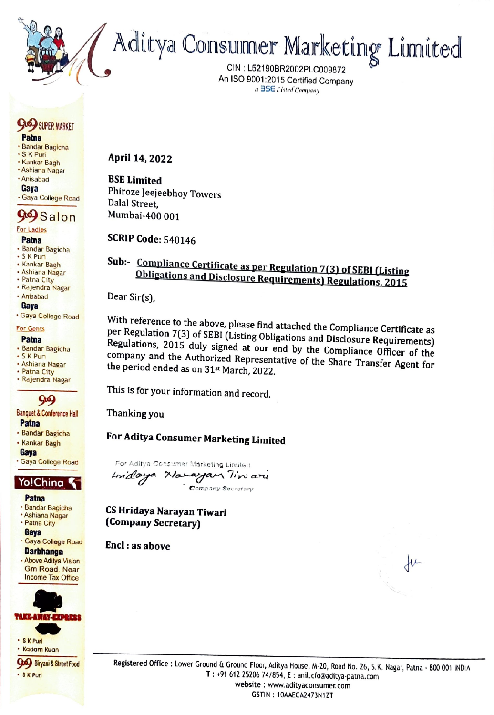

CIN : L52190BR2002PLC009872 . An ISO 9001:2015 Certified Company a BSE Listed Company

## GRE) sypen manner

#### Patna

- » Bandar Bagicha
- \*SK Puri \* Kankar Bagh
- \* Ashiana Nagar
- \* Anisabad

#### Gaya

+ Gaya College Road

## Grey Salon

#### For Ladies

#### Patna

- + Bandar Bagicha
- + SK Pun + Kankar Bagh
- + Ashiana Nagar
- + Patna City
- + Rajendra Nagar

#### + Anisabad Gaya

\* Gaya College Road

#### For Gents

#### Patna

- + Bandar Bagicha «SK Puri
- 
- + Ashiana Nagar
- + Patna City
- Rajendra Nagar

## 969

#### Banquet & Conference Hall Patna

- + Bandar Bagicha
- + Kankar Bagh
- **Gava**

#### \* Gaya College Road

## Yo!China

- Patna
- + Bandar Bagicha + Ashiana Nagar
- + Patna City
- Gaya
- + Gaya College Road Darbhanga
- + Above Aditya Vision Gm Road, Near Income Tax Office





April 14, 2022

### BSE Limited

Phiroze Jeejeebhoy Towers Dalal Street, Mumbai-400 001

## SCRIP Code: 540146

# Sub:- Compliance Certificate as per Regulation 7(3) of SEBI (Listing<br>Obligations and Disclosure Requirements) Regulations, 2015

Dear Sir(s),

With With reference to the above, please find attached the Compliance Certificate as<br>per Regulation 7(3) of SEBI (Listing Obligations and Disclosure Requirementa) Regulations, 2015 duly signed at our end by the Compliance Officer of the company and the Authorized Representative of the Share Transfer Agent for the period ended as on 31<sup>st</sup> March, 2022. **Obligations and Disclosure Regularments [Regulations 2015**<br>
Dear Sir(s),<br>
With reference to the above, please find attached the Complaince Certificate as<br>
pregulations, 2015 do SERI (Listing Obligations and Disclosure Re

This is for your information and record.

Thanking you

## For Aditya Consumer Marketing Limited

For Aditya Consumar Marketing Limited tn haga Mla—e7garn Tis aru Company Secratary

CS Hridaya Narayan Tiwari (Company Secretary)

Encl : as above